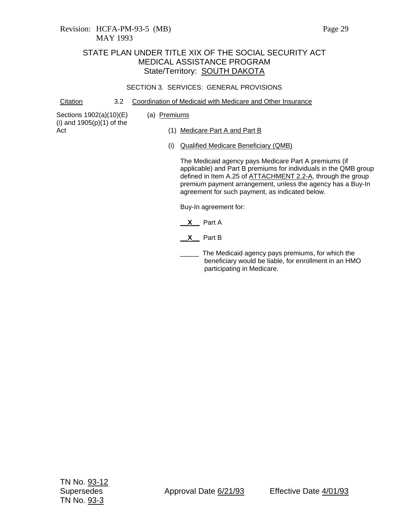Revision: HCFA-PM-93-5 (MB) Page 29 MAY 1993

# STATE PLAN UNDER TITLE XIX OF THE SOCIAL SECURITY ACT MEDICAL ASSISTANCE PROGRAM State/Territory: **SOUTH DAKOTA**

#### SECTION 3. SERVICES: GENERAL PROVISIONS

Citation 3.2 Coordination of Medicaid with Medicare and Other Insurance

Sections 1902(a)(10)(E) (i) and  $1905(p)(1)$  of the Act

- (a) Premiums
	- (1) Medicare Part A and Part B
	- (i) Qualified Medicare Beneficiary (QMB)

The Medicaid agency pays Medicare Part A premiums (if applicable) and Part B premiums for individuals in the QMB group defined in Item A.25 of ATTACHMENT 2.2-A, through the group premium payment arrangement, unless the agency has a Buy-In agreement for such payment, as indicated below.

Buy-In agreement for:

- **\_\_X\_\_** Part A
- **\_\_X\_\_** Part B

The Medicaid agency pays premiums, for which the beneficiary would be liable, for enrollment in an HMO participating in Medicare.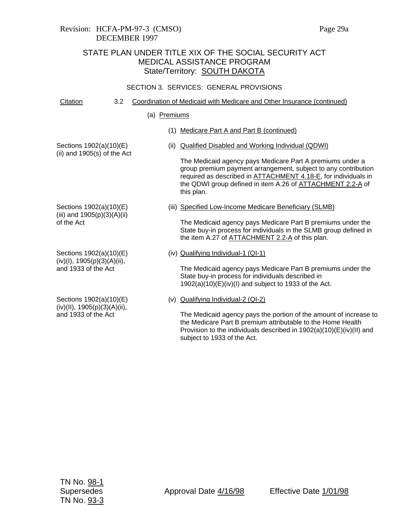Sections 1902(a)(10)(E) (iii) and  $1905(p)(3)(A)(ii)$ 

Sections 1902(a)(10)(E)  $(iv)(I), 1905(p)(3)(A)(ii),$ and 1933 of the Act

Sections 1902(a)(10)(E)  $(iv)(II), 1905(p)(3)(A)(ii),$ and 1933 of the Act

of the Act

# STATE PLAN UNDER TITLE XIX OF THE SOCIAL SECURITY ACT MEDICAL ASSISTANCE PROGRAM State/Territory: SOUTH DAKOTA

### SECTION 3. SERVICES: GENERAL PROVISIONS

| Citation<br>3.2 Coordination of Medicaid with Medicare and Other Insurance (continued) |  |
|----------------------------------------------------------------------------------------|--|
|----------------------------------------------------------------------------------------|--|

- (a) Premiums
	- (1) Medicare Part A and Part B (continued)
- Sections 1902(a)(10)(E) (ii) and 1905(s) of the Act (ii) Qualified Disabled and Working Individual (QDWI)

The Medicaid agency pays Medicare Part A premiums under a group premium payment arrangement, subject to any contribution required as described in ATTACHMENT 4.18-E, for individuals in the QDWI group defined in item A.26 of ATTACHMENT 2.2-A of this plan.

(iii) Specified Low-Income Medicare Beneficiary (SLMB)

The Medicaid agency pays Medicare Part B premiums under the State buy-in process for individuals in the SLMB group defined in the item A.27 of ATTACHMENT 2.2-A of this plan.

(iv) Qualifying Individual-1 (QI-1)

The Medicaid agency pays Medicare Part B premiums under the State buy-in process for individuals described in  $1902(a)(10)(E)(iv)(I)$  and subject to 1933 of the Act.

(v) Qualifying Individual-2 (QI-2)

The Medicaid agency pays the portion of the amount of increase to the Medicare Part B premium attributable to the Home Health Provision to the individuals described in 1902(a)(10)(E)(iv)(II) and subject to 1933 of the Act.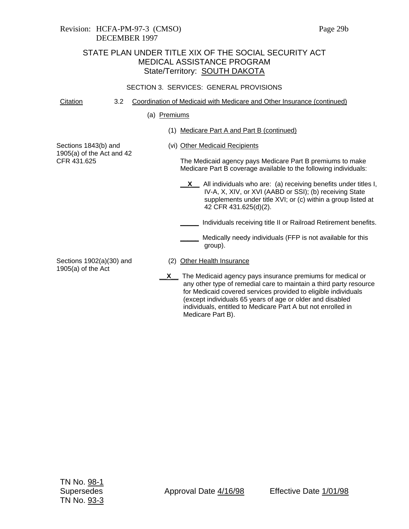## Revision: HCFA-PM-97-3 (CMSO) Page 29b DECEMBER 1997

# STATE PLAN UNDER TITLE XIX OF THE SOCIAL SECURITY ACT MEDICAL ASSISTANCE PROGRAM State/Territory: **SOUTH DAKOTA**

### SECTION 3. SERVICES: GENERAL PROVISIONS

Citation 3.2 Coordination of Medicaid with Medicare and Other Insurance (continued)

- (a) Premiums
	- (1) Medicare Part A and Part B (continued)

Sections 1843(b) and 1905(a) of the Act and 42 CFR 431.625

(vi) Other Medicaid Recipients

The Medicaid agency pays Medicare Part B premiums to make Medicare Part B coverage available to the following individuals:

- **X** All individuals who are: (a) receiving benefits under titles I, IV-A, X, XIV, or XVI (AABD or SSI); (b) receiving State supplements under title XVI; or (c) within a group listed at 42 CFR 431.625(d)(2).
- **\_\_\_\_\_** Individuals receiving title II or Railroad Retirement benefits.

**\_\_\_\_\_** Medically needy individuals (FFP is not available for this group).

Sections 1902(a)(30) and 1905(a) of the Act

- (2) Other Health Insurance
- **X** The Medicaid agency pays insurance premiums for medical or any other type of remedial care to maintain a third party resource for Medicaid covered services provided to eligible individuals (except individuals 65 years of age or older and disabled individuals, entitled to Medicare Part A but not enrolled in Medicare Part B).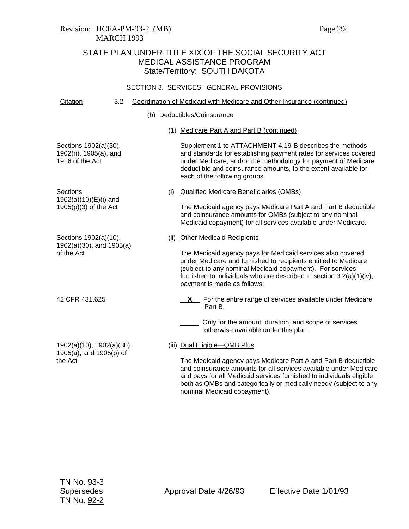### SECTION 3. SERVICES: GENERAL PROVISIONS

| Citation                                                          | 3.2 |                                                                                                                                                                                                             | Coordination of Medicaid with Medicare and Other Insurance (continued)                                                                                                                                                                                                                             |  |
|-------------------------------------------------------------------|-----|-------------------------------------------------------------------------------------------------------------------------------------------------------------------------------------------------------------|----------------------------------------------------------------------------------------------------------------------------------------------------------------------------------------------------------------------------------------------------------------------------------------------------|--|
| (b) Deductibles/Coinsurance                                       |     |                                                                                                                                                                                                             |                                                                                                                                                                                                                                                                                                    |  |
|                                                                   |     |                                                                                                                                                                                                             | (1) Medicare Part A and Part B (continued)                                                                                                                                                                                                                                                         |  |
| Sections 1902(a)(30),<br>1902(n), 1905(a), and<br>1916 of the Act |     |                                                                                                                                                                                                             | Supplement 1 to ATTACHMENT 4.19-B describes the methods<br>and standards for establishing payment rates for services covered<br>under Medicare, and/or the methodology for payment of Medicare<br>deductible and coinsurance amounts, to the extent available for<br>each of the following groups. |  |
| Sections<br>1902(a)(10)(E)(i) and                                 | (i) | <b>Qualified Medicare Beneficiaries (QMBs)</b>                                                                                                                                                              |                                                                                                                                                                                                                                                                                                    |  |
| $1905(p)(3)$ of the Act                                           |     |                                                                                                                                                                                                             | The Medicaid agency pays Medicare Part A and Part B deductible<br>and coinsurance amounts for QMBs (subject to any nominal<br>Medicaid copayment) for all services available under Medicare.                                                                                                       |  |
| Sections 1902(a)(10),                                             |     | (ii)                                                                                                                                                                                                        | <b>Other Medicaid Recipients</b>                                                                                                                                                                                                                                                                   |  |
| 1902(a)(30), and 1905(a)<br>of the Act                            |     |                                                                                                                                                                                                             | The Medicaid agency pays for Medicaid services also covered<br>under Medicare and furnished to recipients entitled to Medicare<br>(subject to any nominal Medicaid copayment). For services<br>furnished to individuals who are described in section 3.2(a)(1)(iv),<br>payment is made as follows: |  |
| 42 CFR 431.625                                                    |     |                                                                                                                                                                                                             | $X$ For the entire range of services available under Medicare<br>Part B.                                                                                                                                                                                                                           |  |
|                                                                   |     |                                                                                                                                                                                                             | Only for the amount, duration, and scope of services<br>otherwise available under this plan.                                                                                                                                                                                                       |  |
| 1902(a)(10), 1902(a)(30),<br>1905(a), and 1905(p) of<br>the Act   |     | (iii) Dual Eligible-QMB Plus                                                                                                                                                                                |                                                                                                                                                                                                                                                                                                    |  |
|                                                                   |     | The Medicaid agency pays Medicare Part A and Part B deductible<br>and coinsurance amounts for all services available under Medicare<br>and pays for all Medicaid services furnished to individuals eligible |                                                                                                                                                                                                                                                                                                    |  |

nominal Medicaid copayment).

both as QMBs and categorically or medically needy (subject to any